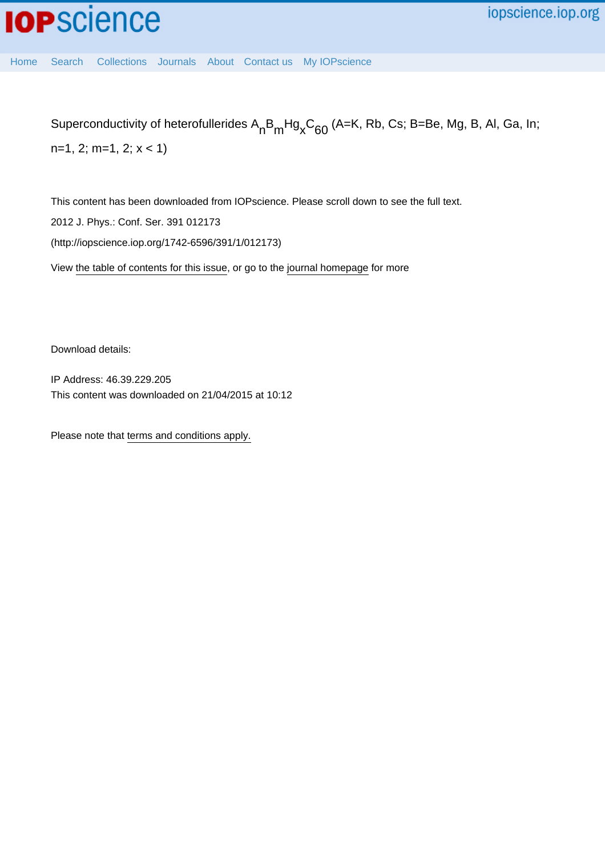[Home](http://iopscience.iop.org/) [Search](http://iopscience.iop.org/search) [Collections](http://iopscience.iop.org/collections) [Journals](http://iopscience.iop.org/journals) [About](http://iopscience.iop.org/page/aboutioppublishing) [Contact us](http://iopscience.iop.org/contact) [My IOPscience](http://iopscience.iop.org/myiopscience)

Superconductivity of heterofullerides  $\mathsf{A}_{\mathsf{n}}\mathsf{B}_{\mathsf{m}}\mathsf{H} \mathsf{g}_{\mathsf{x}}\mathsf{C}_{60}$  (A=K, Rb, Cs; B=Be, Mg, B, Al, Ga, In;

n=1, 2; m=1, 2; x < 1)

This content has been downloaded from IOPscience. Please scroll down to see the full text.

2012 J. Phys.: Conf. Ser. 391 012173

(http://iopscience.iop.org/1742-6596/391/1/012173)

View [the table of contents for this issue](http://iopscience.iop.org/1742-6596/391/1), or go to the [journal homepage](http://iopscience.iop.org/1742-6596) for more

Download details:

IP Address: 46.39.229.205 This content was downloaded on 21/04/2015 at 10:12

Please note that [terms and conditions apply.](iopscience.iop.org/page/terms)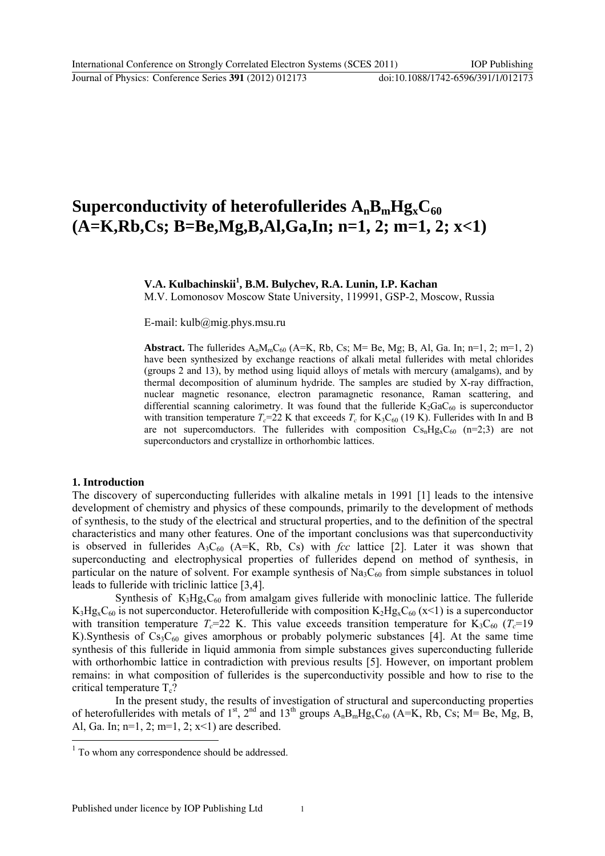# **Superconductivity of heterofullerides**  $A_nB_mHg_xC_{60}$ **(A=K,Rb,Cs; B=Be,Mg,B,Al,Ga,In; n=1, 2; m=1, 2; x<1)**

**V.A. Kulbachinskii<sup>1</sup> , B.M. Bulychev, R.A. Lunin, I.P. Kachan** 

M.V. Lomonosov Moscow State University, 119991, GSP-2, Moscow, Russia

E-mail: kulb@mig.phys.msu.ru

**Abstract.** The fullerides  $A_nM_mC_{60}$  (A=K, Rb, Cs; M= Be, Mg; B, Al, Ga. In; n=1, 2; m=1, 2) have been synthesized by exchange reactions of alkali metal fullerides with metal chlorides (groups 2 and 13), by method using liquid alloys of metals with mercury (amalgams), and by thermal decomposition of aluminum hydride. The samples are studied by X-ray diffraction, nuclear magnetic resonance, electron paramagnetic resonance, Raman scattering, and differential scanning calorimetry. It was found that the fulleride  $K_2GaC_{60}$  is superconductor with transition temperature  $T_c$ =22 K that exceeds  $T_c$  for K<sub>3</sub>C<sub>60</sub> (19 K). Fullerides with In and B are not supercomductors. The fullerides with composition  $Cs<sub>n</sub>Hg<sub>x</sub>C<sub>60</sub>$  (n=2;3) are not superconductors and crystallize in orthorhombic lattices.

#### **1. Introduction**

l

The discovery of superconducting fullerides with alkaline metals in 1991 [1] leads to the intensive development of chemistry and physics of these compounds, primarily to the development of methods of synthesis, to the study of the electrical and structural properties, and to the definition of the spectral characteristics and many other features. One of the important conclusions was that superconductivity is observed in fullerides  $A_3C_{60}$  (A=K, Rb, Cs) with *fcc* lattice [2]. Later it was shown that superconducting and electrophysical properties of fullerides depend on method of synthesis, in particular on the nature of solvent. For example synthesis of  $Na<sub>3</sub>C<sub>60</sub>$  from simple substances in toluol leads to fulleride with triclinic lattice [3,4].

Synthesis of  $K_3Hg_xC_{60}$  from amalgam gives fulleride with monoclinic lattice. The fulleride  $K_3Hg_xC_{60}$  is not superconductor. Heterofulleride with composition  $K_2Hg_xC_{60}$  (x<1) is a superconductor with transition temperature  $T_c$ =22 K. This value exceeds transition temperature for K<sub>3</sub>C<sub>60</sub> ( $T_c$ =19 K). Synthesis of  $Cs<sub>3</sub>C<sub>60</sub>$  gives amorphous or probably polymeric substances [4]. At the same time synthesis of this fulleride in liquid ammonia from simple substances gives superconducting fulleride with orthorhombic lattice in contradiction with previous results [5]. However, on important problem remains: in what composition of fullerides is the superconductivity possible and how to rise to the critical temperature  $T_c$ ?

In the present study, the results of investigation of structural and superconducting properties of heterofullerides with metals of  $1<sup>st</sup>$ ,  $2<sup>nd</sup>$  and  $13<sup>th</sup>$  groups  $A<sub>n</sub>B<sub>m</sub>Hg<sub>x</sub>C<sub>60</sub>$  (A=K, Rb, Cs; M= Be, Mg, B, Al, Ga. In;  $n=1$ , 2;  $m=1$ , 2;  $x<1$ ) are described.

<sup>&</sup>lt;sup>1</sup> To whom any correspondence should be addressed.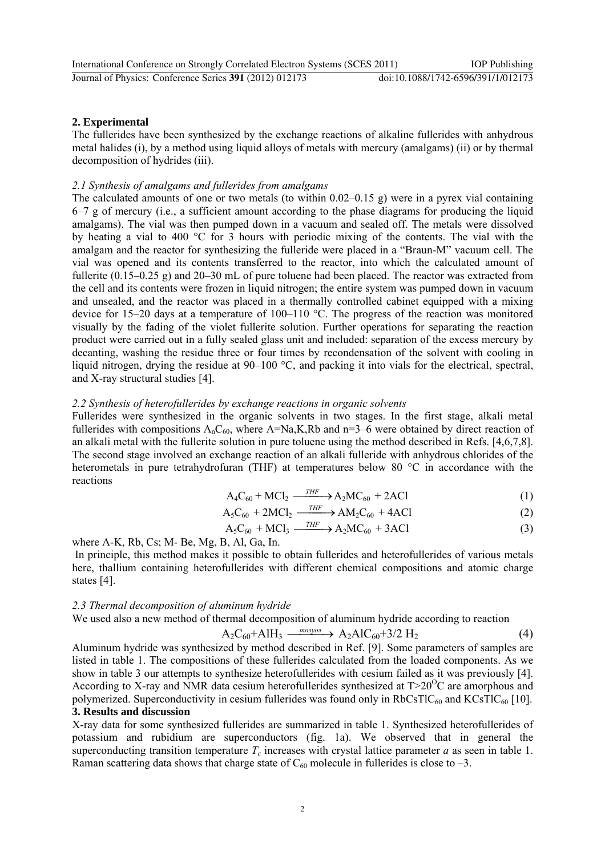# **2. Experimental**

The fullerides have been synthesized by the exchange reactions of alkaline fullerides with anhydrous metal halides (i), by a method using liquid alloys of metals with mercury (amalgams) (ii) or by thermal decomposition of hydrides (iii).

## *2.1 Synthesis of amalgams and fullerides from amalgams*

The calculated amounts of one or two metals (to within 0.02–0.15 g) were in a pyrex vial containing 6–7 g of mercury (i.e., a sufficient amount according to the phase diagrams for producing the liquid amalgams). The vial was then pumped down in a vacuum and sealed off. The metals were dissolved by heating a vial to 400 °C for 3 hours with periodic mixing of the contents. The vial with the amalgam and the reactor for synthesizing the fulleride were placed in a "Braun-M" vacuum cell. The vial was opened and its contents transferred to the reactor, into which the calculated amount of fullerite (0.15–0.25 g) and 20–30 mL of pure toluene had been placed. The reactor was extracted from the cell and its contents were frozen in liquid nitrogen; the entire system was pumped down in vacuum and unsealed, and the reactor was placed in a thermally controlled cabinet equipped with a mixing device for 15–20 days at a temperature of 100–110 °C. The progress of the reaction was monitored visually by the fading of the violet fullerite solution. Further operations for separating the reaction product were carried out in a fully sealed glass unit and included: separation of the excess mercury by decanting, washing the residue three or four times by recondensation of the solvent with cooling in liquid nitrogen, drying the residue at 90–100 °C, and packing it into vials for the electrical, spectral. and X-ray structural studies [4].

### *2.2 Synthesis of heterofullerides by exchange reactions in organic solvents*

Fullerides were synthesized in the organic solvents in two stages. In the first stage, alkali metal fullerides with compositions  $A_nC_{60}$ , where  $A=Na,K,Rb$  and  $n=3-6$  were obtained by direct reaction of an alkali metal with the fullerite solution in pure toluene using the method described in Refs. [4,6,7,8]. The second stage involved an exchange reaction of an alkali fulleride with anhydrous chlorides of the heterometals in pure tetrahydrofuran (THF) at temperatures below 80 °C in accordance with the reactions

$$
A_4C_{60} + MCl_2 \xrightarrow{\text{THF}} A_2MC_{60} + 2ACl \tag{1}
$$

$$
A_5C_{60} + 2MCl_2 \xrightarrow{\text{THF}} AM_2C_{60} + 4ACl \tag{2}
$$

$$
A_5C_{60} + MCl_3 \xrightarrow{\text{THF}} A_2MC_{60} + 3ACl \tag{3}
$$

where A-K, Rb, Cs; M- Be, Mg, B, Al, Ga, In.

 In principle, this method makes it possible to obtain fullerides and heterofullerides of various metals here, thallium containing heterofullerides with different chemical compositions and atomic charge states [4].

#### *2.3 Thermal decomposition of aluminum hydride*

We used also a new method of thermal decomposition of aluminum hydride according to reaction

$$
A_2C_{60} + AIH_3 \xrightarrow{m\text{onyon}} A_2AlC_{60} + 3/2 H_2
$$
 (4)

Aluminum hydride was synthesized by method described in Ref. [9]. Some parameters of samples are listed in table 1. The compositions of these fullerides calculated from the loaded components. As we show in table 3 our attempts to synthesize heterofullerides with cesium failed as it was previously [4]. According to X-ray and NMR data cesium heterofullerides synthesized at  $T>20^{\circ}$ C are amorphous and polymerized. Superconductivity in cesium fullerides was found only in  $RbCSTIC_{60}$  and  $KCSTIC_{60}$  [10]. **3. Results and discussion** 

X-ray data for some synthesized fullerides are summarized in table 1. Synthesized heterofullerides of potassium and rubidium are superconductors (fig. 1a). We observed that in general the superconducting transition temperature  $T_c$  increases with crystal lattice parameter *a* as seen in table 1. Raman scattering data shows that charge state of  $C_{60}$  molecule in fullerides is close to -3.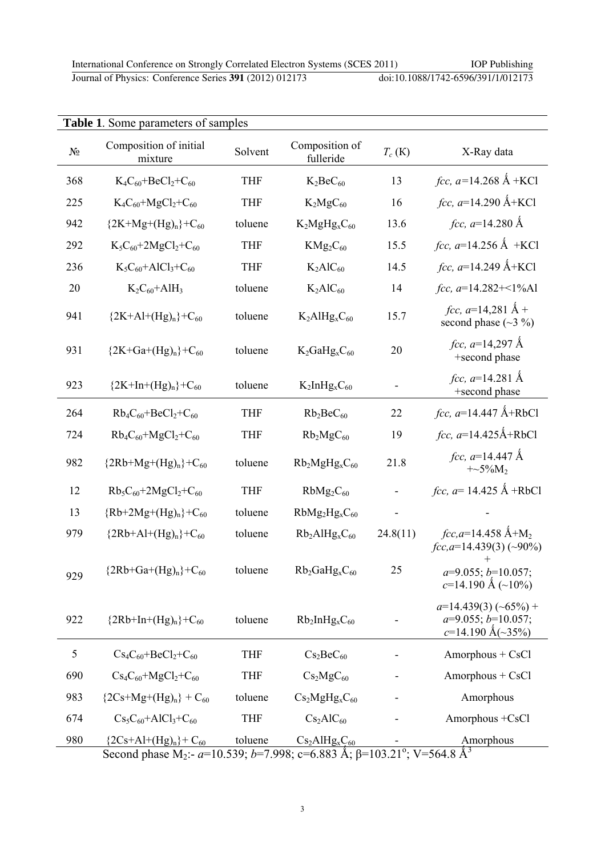Journal of Physics: Conference Series **391** (2012) 012173 doi:10.1088/1742-6596/391/1/012173

| <b>Table 1.</b> Some parameters of samples |                                                                                                                                                                      |            |                                         |          |                                                                                   |
|--------------------------------------------|----------------------------------------------------------------------------------------------------------------------------------------------------------------------|------------|-----------------------------------------|----------|-----------------------------------------------------------------------------------|
| $N_{\! \! \! \Omega}$                      | Composition of initial<br>mixture                                                                                                                                    | Solvent    | Composition of<br>fulleride             | $T_c(K)$ | X-Ray data                                                                        |
| 368                                        | $K_4C_{60} + BeCl_2 + C_{60}$                                                                                                                                        | <b>THF</b> | $K_2BeC_{60}$                           | 13       | <i>fcc</i> , $a=14.268 \text{ Å} + \text{KCl}$                                    |
| 225                                        | $K_4C_{60}+MgCl_2+C_{60}$                                                                                                                                            | <b>THF</b> | $K_2MgC_{60}$                           | 16       | <i>fcc</i> , $a=14.290 \text{ Å+KCl}$                                             |
| 942                                        | ${2K+Mg+(Hg)n}+C_{60}$                                                                                                                                               | toluene    | $K_2MgHg_xC_{60}$                       | 13.6     | <i>fcc</i> , $a=14.280 \text{ Å}$                                                 |
| 292                                        | $K_5C_{60} + 2MgCl_2 + C_{60}$                                                                                                                                       | <b>THF</b> | $KMg_2C_{60}$                           | 15.5     | <i>fcc</i> , $a=14.256 \text{ Å} + \text{KCl}$                                    |
| 236                                        | $K_5C_{60}+AICl_3+C_{60}$                                                                                                                                            | <b>THF</b> | $K_2AIC_{60}$                           | 14.5     | <i>fcc</i> , $a=14.249$ Å+KCl                                                     |
| 20                                         | $K_2C_{60}+A1H_3$                                                                                                                                                    | toluene    | $K_2AIC_{60}$                           | 14       | fcc, $a=14.282+<1\%$ Al                                                           |
| 941                                        | ${2K+A1+(Hg)n}+C_{60}$                                                                                                                                               | toluene    | $K_2$ AlHg <sub>x</sub> $C_{60}$        | 15.7     | <i>fcc</i> , $a=14,281 \text{ Å} +$<br>second phase $(\sim$ 3 %)                  |
| 931                                        | ${2K+Ga+(Hg)n}+C_{60}$                                                                                                                                               | toluene    | $K_2GaHg_xC_{60}$                       | 20       | fcc, $a=14,297 \text{ Å}$<br>+second phase                                        |
| 923                                        | ${2K+In+(Hg)n}+C_{60}$                                                                                                                                               | toluene    | $K_2$ InHg <sub>x</sub> C <sub>60</sub> |          | fcc, $a=14.281 \text{ Å}$<br>+second phase                                        |
| 264                                        | $Rb_4C_{60} + BeCl_2 + C_{60}$                                                                                                                                       | <b>THF</b> | $Rb_2BeC_{60}$                          | 22       | <i>fcc</i> , $a=14.447 \text{ Å+RbCl}$                                            |
| 724                                        | $Rb_4C_{60} + MgCl_2 + C_{60}$                                                                                                                                       | <b>THF</b> | $Rb_2MgC_{60}$                          | 19       | $fcc, a=14.425Å+RbCl$                                                             |
| 982                                        | ${2Rb+Mg+(Hg)n}$ +C <sub>60</sub>                                                                                                                                    | toluene    | $Rb_2MgHg_xC_{60}$                      | 21.8     | <i>fcc</i> , $a=14.447 \text{ Å}$<br>$+\sim 5\%M_2$                               |
| 12                                         | $Rb_5C_{60} + 2MgCl_2 + C_{60}$                                                                                                                                      | <b>THF</b> | $RbMg_2C_{60}$                          |          | <i>fcc</i> , $a=14.425 \text{ Å} + RbCl$                                          |
| 13                                         | ${Rb+2Mg+(Hg)n}+C_{60}$                                                                                                                                              | toluene    | $RbMg_2Hg_xC_{60}$                      |          |                                                                                   |
| 979                                        | ${2Rb+A}_{H}$ (Hg) <sub>n</sub> }+C <sub>60</sub>                                                                                                                    | toluene    | $Rb_2A1Hg_xC_{60}$                      | 24.8(11) | $fcc, a=14.458$ Å+M <sub>2</sub><br>$fcc, a=14.439(3)$ (~90%)                     |
| 929                                        | ${2Rb+Ga+(Hg)n}+C_{60}$                                                                                                                                              | toluene    | $Rb_2GaHg_xC_{60}$                      | 25       | $a=9.055$ ; $b=10.057$ ;<br>$c=14.190 \text{ Å } (-10\%)$                         |
| 922                                        | ${2Rb+In+(Hg)n}+C_{60}$                                                                                                                                              | toluene    | $Rb_2InHg_xC_{60}$                      |          | $a=14.439(3)$ (~65%) +<br>$a=9.055; b=10.057;$<br>$c=14.190 \text{ Å}(\sim 35\%)$ |
| 5                                          | $Cs_4C_{60} + BeCl_2 + C_{60}$                                                                                                                                       | <b>THF</b> | Cs <sub>2</sub> BeC <sub>60</sub>       |          | Amorphous + CsCl                                                                  |
| 690                                        | $Cs_4C_{60} + MgCl_2 + C_{60}$                                                                                                                                       | <b>THF</b> | Cs <sub>2</sub> MgC <sub>60</sub>       |          | Amorphous + CsCl                                                                  |
| 983                                        | ${2Cs+Mg+(Hg)n} + C_{60}$                                                                                                                                            | toluene    | $Cs2MgHgxC60$                           |          | Amorphous                                                                         |
| 674                                        | $Cs_5C_{60}+AICl_3+C_{60}$                                                                                                                                           | <b>THF</b> | Cs <sub>2</sub> AIC <sub>60</sub>       |          | Amorphous +CsCl                                                                   |
| 980                                        | ${2Cs+AH+(Hg)n}+C_{60}$<br>Second phase $M_2$ : $\alpha$ = 10.530; $b$ = 7.008; $c$ = 6.883. $\lambda$ ; R=103.21 <sup>0</sup> ; $V$ = 564.8. $\lambda$ <sup>3</sup> | toluene    | $Cs2AlHgxC60$                           |          | Amorphous                                                                         |

Second phase M<sub>2</sub>:- *a*=10.539; *b*=7.998; c=6.883 Å;  $\beta$ =103.21°; V=564.8 Å<sup>3</sup>